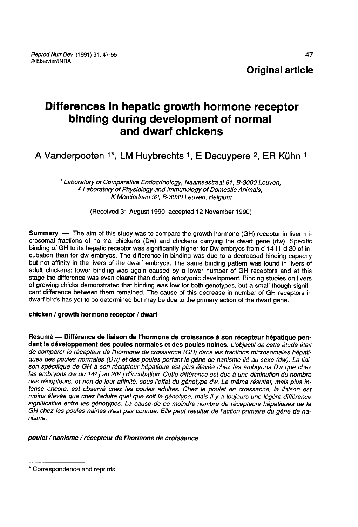# Differences in hepatic growth hormone receptor binding during development of normal and dwarf chickens

A Vanderpooten <sup>1\*</sup>, LM Huybrechts <sup>1</sup>, E Decuypere <sup>2</sup>, ER Kühn <sup>1</sup>

<sup>1</sup> Laboratory of Comparative Endocrinology, Naamsestraat 61, B-3000 Leuven;<br><sup>2</sup> Laboratory of Physiology and Immunology of Domestic Animals,<br>K Mercierlaan 92, B-3030 Leuven, Belgium

(Received 31 August 1990; accepted 12 November 1990)

**Summary** — The aim of this study was to compare the growth hormone (GH) receptor in liver mi-<br>crosomal fractions of normal chickens (Dw) and chickens carrying the dwarf gene (dw). Specific binding of GH to its hepatic receptor was significantly higher for Dw embryos from d 14 till d 20 of incubation than for dw embryos. The difference in binding was due to a decreased binding capacity but not affinity in the livers of the dwarf embryos. The same binding pattern was found in livers of adult chickens: lower binding was again caused by a lower number of GH receptors and at this stage the difference was even clearer than during embryonic development. Binding studies on livers<br>of growing chicks demonstrated that binding was low for both genotypes, but a small though significant difference between them remained. The cause of this decrease in number of GH receptors in dwarf birds has yet to be determined but may be due to the primary action of the dwarf gene.

### chicken / growth hormone receptor / dwarf

Résumé ― Différence de liaison de l'hormone de croissance à son récepteur hépatique pendant le développement des poules normales et des poules naines. L'objectif de cette étude était de comparer le récepteur de l'hormone de croissance (GH) dans les fractions microsomales hépatiques des poules normales (Dw) et des poules portant le gène de nanisme lié au sexe (dw). La liaiques des poues nombres (DW) et des poues portant le gene de nanisme le au sexe (dW). La liar-<br>son spécifique de GH à son récepteur hépatique est plus élevée chez les embryons Dw que chez<br>des récepteurs et pop de leur affi des récepteurs, et non de leur affinité, sous l'effet du génotype dw. Le même résultat, mais plus intense encore, est observé chez les poules adultes. Chez le poulet en croissance, la liaison est moins élevée que chez l'adulte quel que soit le génotype, mais il y a toujours une légère différence significative entre les génotypes. La cause de ce moindre nombre de récepteurs hépatiques de la GH chez les poules naines n'est pas connue. Elle peut résulter de l'action primaire du gène de nanisme.

### poulet / nanisme / récepteur de l'hormone de croissance

<sup>\*</sup> Correspondence and reprints.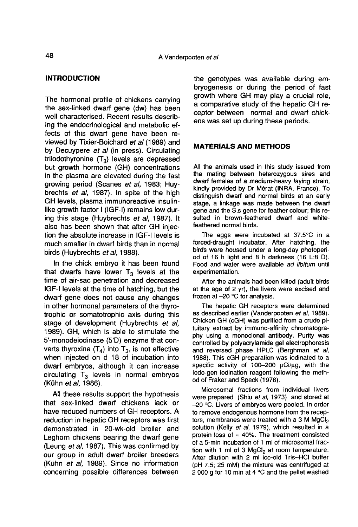## INTRODUCTION

The hormonal profile of chickens carrying the sex-linked dwarf gene (dw) has been well characterised. Recent results describing the endocrinological and metabolic effects of this dwarf gene have been reviewed by Tixier-Boichard et al (1989) and by Decuypere et al (in press). Circulating triiodothyronine  $(T_3)$  levels are depressed but growth hormone (GH) concentrations in the plasma are elevated during the fast growing period (Scanes et al, 1983; Huybrechts et al, 1987). In spite of the high GH levels, plasma immunoreactive insulinlike growth factor I (IGF-I) remains low during this stage (Huybrechts et al, 1987). It also has been shown that after GH injection the absolute increase in IGF-I levels is much smaller in dwarf birds than in normal birds (Huybrechts et al. 1988).

In the chick embryo it has been found that dwarfs have lower  $T_3$  levels at the time of air-sac penetration and decreased IGF-t levels at the time of hatching, but the dwarf gene does not cause any changes in other hormonal parameters of the thyrotrophic or somatotrophic axis during this stage of development (Huybrechts et al, 1989). GH, which is able to stimulate the 5'-monodeiodinase (5'D) enzyme that converts thyroxine  $(T_4)$  into  $T_3$ , is not effective when injected on d 18 of incubation into dwarf embryos, although it can increase circulating  $T_3$  levels in normal embryos (Kühn et al, 1986).

All these results support the hypothesis that sex-linked dwarf chickens lack or have reduced numbers of GH receptors. A reduction in hepatic GH receptors was first demonstrated in 20-wk-old broiler and Leghorn chickens bearing the dwarf gene (Leung et al, 1987). This was confirmed by our group in adult dwarf broiler breeders (Kuhn et al, 1989). Since no information concerning possible differences between

the genotypes was available during embryogenesis or during the period of fast growth where GH may play a crucial role,<br>a comparative study of the hepatic GH receptor between normal and dwarf chickens was set up during these periods.

## MATERIALS AND METHODS

All the animals used in this study issued from the mating between heterozygous sires and dwarf females of a medium-heavy laying strain, kindly provided by Dr Mérat (INRA, France). To distinguish dwarf and normal birds at an early stage, a linkage was made between the dwarf gene and the S,s gene for feather colour; this resulted in brown-feathered dwarf and whitefeathered normal birds.

The eggs were incubated at 37.5°C in a forced-draught incubator. After hatching, the birds were housed under a long-day photoperiod of 16 h light and 8 h darkness (16 L:8 D). Food and water were available ad libitum until experimentation.

After the animals had been killed (adult birds at the age of 2 yr), the livers were excised and frozen at -20 °C for analysis.

The hepatic GH receptors were determined as described earlier (Vanderpooten et al, 1989). Chicken GH (cGH) was purified from a crude pituitary extract by immuno-affinity chromatography using a monoclonal antibody. Purity was controlled by polyacrylamide gel electrophoresis and reversed phase HPLC (Berghman et al, 1988). This cGH preparation was iodinated to a specific activity of 100-200  $\mu$ Ci/ $\mu$ g, with the lodo-gen iodination reagent following the method of Fraker and Speck (1978).

Microsomal fractions from individual livers were prepared (Shiu et al, 1973) and stored at --20 °C. Livers of embryos were pooled. In order to remove endogenous hormone from the recep- $-20$  °C. Livers of embryos were pooled. In order<br>to remove endogenous hormone from the recep-<br>tors, membranes were treated with a 3 M MgCl<sub>2</sub><br>solution (Kelly *et al.* 1979), which resulted in a solution (Kelly et al, 1979), which resulted in a protein loss of  $\approx$  40%. The treatment consisted of a 5-min incubation of 1 ml of microsomal fracprotein loss of  $\approx$  40%. The treatment consisted<br>of a 5-min incubation of 1 ml of microsomal frac-<br>tion with 1 ml of 3 MgCl<sub>2</sub> at room temperature.<br>After dilution with 2 ml ice-old Tris-HCl buffer After dilution with 2 ml ice-old Tris-HCI buffer (pH 7.5; 25 mM) the mixture was centrifuged at 2 000 g for 10 min at 4  $^{\circ}$ C and the pellet washed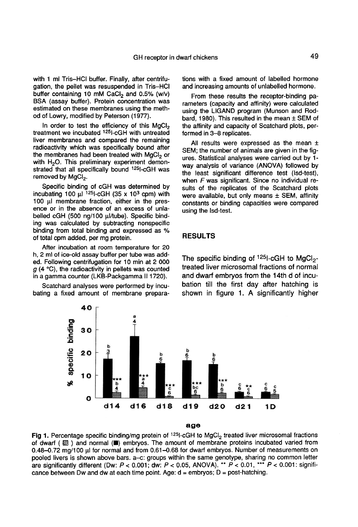with 1 ml Tris-HCI buffer. Finally, after centrifugation, the pellet was resuspended in Tris-HCI with 1 ml Tris–HCl buffer. Finally, after centrifugation, the pellet was resuspended in Tris–HCl<br>buffer containing 10 mM CaCl<sub>2</sub> and 0.5% (w/v)<br>BSA (assav buffer). Protein concentration was BSA (assay buffer). Protein concentration was estimated on these membranes using the method of Lowry, modified by Peterson (1977).

In order to test the efficiency of this  $MgCl<sub>2</sub>$ <br>treatment we incubated  $125$ -cGH with untreated liver membranes and compared the remaining<br>radioactivity which was specifically bound after<br>the membranes had been treated with MgCl<sub>2</sub> or<br>with H<sub>2</sub>O. This preliminary experiment demonradioactivity which was specifically bound after<br>the membranes had been treated with MgCl<sub>2</sub> or with H<sub>2</sub>O. This preliminary experiment demonstrated that all specifically bound  $125$ I-cGH was removed by MgCl<sub>2</sub>.

Specific binding of cGH was determined by incubating 100  $\mu$ <sup>125</sup>1-cGH (35 x 10<sup>3</sup> cpm) with 100  $\mu$ l membrane fraction, either in the pres-<br>ence or in the absence of an excess of unlabelled cGH (500 ng/100 µl/tube). Specific binding was calculated by subtracting nonspecific binding from total binding and expressed as % of total cpm added, per mg protein.

After incubation at room temperature for 20 h, 2 ml of ice-old assay buffer per tube was added. Following centrifugation for 10 min at 2 000  $g$  (4 °C), the radioactivity in pellets was counted in a gamma counter (LKB-Packgamma II 1720).

Scatchard analyses were performed by incubating a fixed amount of membrane preparations with a fixed amount of labelled hormone and increasing amounts of unlabelled hormone.

From these results the receptor-binding pa rameters (capacity and affinity) were calculated using the LIGAND program (Munson and Rodbard, 1980). This resulted in the mean  $\pm$  SEM of the affinity and capacity of Scatchard plots, performed in 3-8 replicates.

All results were expressed as the mean  $\pm$ SEM; the number of animals are given in the fig ures. Statistical analyses were carried out by 1 way analysis of variance (ANOVA) followed by the least significant difference test (Isd-test), when F was significant. Since no individual results of the replicates of the Scatchard plots were available, but only means  $\pm$  SEM, affinity constants or binding capacities were compared using the lsd-test.

#### RESULTS

The specific binding of  $1251$ -cGH to MgCl<sub>2</sub>-<br>treated liver microsomal fractions of normal and dwarf embryos from the 14th d of incubation till the first day after hatching is shown in figure 1. A significantly higher



age

Fig 1. Percentage specific binding/mg protein of <sup>125</sup>I-cGH to MgCl<sub>2</sub> treated liver microsomal fractions of dwarf ( \/\) and normal ( $\blacksquare$ ) embryos. The amount of membrane proteins incubated varied from 0.48-0.72 mg/100 µl for normal and from 0.61-0.68 for dwarf embryos. Number of measurements on pooled livers is shown above bars. a-c: groups within the same genotype, sharing no common letter are significantly different (Dw:  $P < 0.001$ , dw:  $P < 0.05$ , ANOVA). \*\*  $P < 0.01$ , \*\*\*  $P < 0.001$ : significance between Dw and dw at each time point. Age:  $d =$  embryos;  $D =$  post-hatching.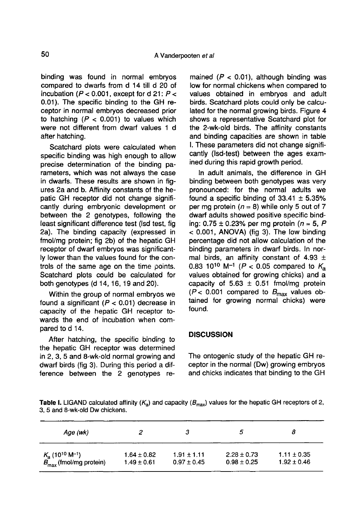binding was found in normal embryos compared to dwarfs from d 14 till d 20 of incubation ( $P < 0.001$ , except for d 21:  $P <$ 0.01). The specific binding to the GH receptor in normal embryos decreased prior to hatching  $(P < 0.001)$  to values which were not different from dwarf values 1 d after hatching.

Scatchard plots were calculated when specific binding was high enough to allow precise determination of the binding parameters, which was not always the case in dwarfs. These results are shown in fig ures 2a and b. Affinity constants of the hepatic GH receptor did not change significantly during embryonic development or between the 2 genotypes, following the least significant difference test (Isd test, fig 2a). The binding capacity (expressed in fmol/mg protein; fig 2b) of the hepatic GH receptor of dwarf embryos was significantly lower than the values found for the controls of the same age on the time points. Scatchard plots could be calculated for both genotypes (d 14, 16, 19 and 20).

Within the group of normal embryos we found a significant ( $P < 0.01$ ) decrease in capacity of the hepatic GH receptor towards the end of incubation when compared to d 14.

After hatching, the specific binding to the hepatic GH receptor was determined in 2, 3, 5 and 8-wk-old normal growing and dwarf birds (fig 3). During this period a difference between the 2 genotypes re-

mained ( $P < 0.01$ ), although binding was low for normal chickens when compared to values obtained in embryos and adult birds. Scatchard plots could only be calculated for the normal growing birds. Figure 4 shows a representative Scatchard plot for the 2-wk-old birds. The affinity constants and binding capacities are shown in table I. These parameters did not change significantly (lsd-test) between the ages examined during this rapid growth period.

In adult animals, the difference in GH binding between both genotypes was very pronounced: for the normal adults we found a specific binding of  $33.41 \pm 5.35\%$ per mg protein ( $n = 8$ ) while only 5 out of 7 dwarf adults showed positive specific binding:  $0.75 \pm 0.23$ % per mg protein ( $n = 5$ , P < 0.001, ANOVA) (fig 3). The low binding percentage did not allow calculation of the binding parameters in dwarf birds. In normal birds, an affinity constant of 4.93  $\pm$ 0.83 10<sup>10</sup> M<sup>-1</sup> (P < 0.05 compared to  $K_a$ values obtained for growing chicks) and a capacity of  $5.63 \pm 0.51$  fmol/mg protein ( $P$  < 0.001 compared to  $B_{\text{max}}$  values obtained for growing normal chicks) were found.

## **DISCUSSION**

The ontogenic study of the hepatic GH receptor in the normal (Dw) growing embryos and chicks indicates that binding to the GH

**Table I.** LIGAND calculated affinity  $(K_a)$  and capacity  $(B_{max})$  values for the hepatic GH receptors of 2, 3.5 and 8-wk-old Dw chickens.

| Age (wk)                                  | 2               |                 | Э               |                 |
|-------------------------------------------|-----------------|-----------------|-----------------|-----------------|
| $K_a$ (10 <sup>10</sup> M <sup>-1</sup> ) | $1.64 \pm 0.82$ | $1.91 \pm 1.11$ | $2.28 \pm 0.73$ | $1.11 \pm 0.35$ |
| $B_{\text{max}}$ (fmol/mg protein)        | $1.49 \pm 0.61$ | $0.97 \pm 0.45$ | $0.98 \pm 0.25$ | $1.92 \pm 0.46$ |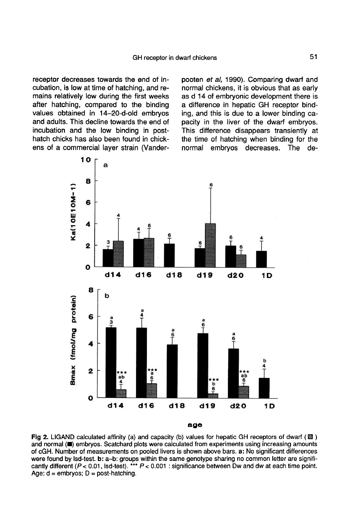receptor decreases towards the end of incubation, is low at time of hatching, and remains relatively low during the first weeks after hatching, compared to the binding values obtained in 14-20-d-old embryos and adults. This decline towards the end of incubation and the low binding in posthatch chicks has also been found in chickens of a commercial layer strain (Vanderpooten et al, 1990). Comparing dwarf and normal chickens, it is obvious that as early as d 14 of embryonic development there is a difference in hepatic GH receptor binding, and this is due to a lower binding capacity in the liver of the dwarf embryos. This difference disappears transiently at the time of hatching when binding for the normal embryos decreases. The de-



Fig 2. LIGAND calculated affinity (a) and capacity (b) values for hepatic GH receptors of dwarf ( $\boxtimes$ ) and normal () embryos. Scatchard plots were calculated from experiments using increasing amounts of cGH. Number of measurements on pooled livers is shown above bars. a: No significant differences were found by lsd-test. b: a-b: groups within the same genotype sharing no common letter are significantly different ( $P < 0.01$ , lsd-test). \*\*\*  $P < 0.001$  : significance between Dw and dw at each time point. Age:  $d =$  embryos;  $D =$  post-hatching.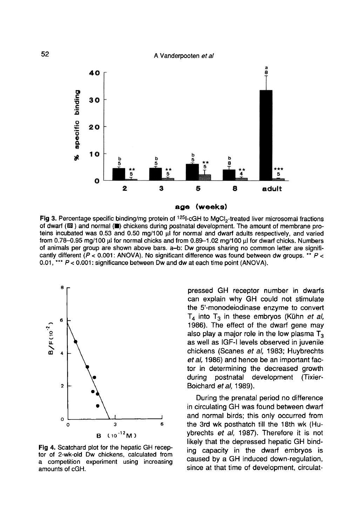#### A Vanderpooten et al



Fig 3. Percentage specific binding/mg protein of <sup>125</sup>l-cGH to MgCl<sub>2</sub>-treated liver microsomal fractions of dwarf (Z) and normal (D) chickens during postnatal development. The amount of membrane proteins incubated was 0.53 and 0.50 mg/100 µl for normal and dwarf adults respectively, and varied from 0.78–0.95 mg/100 µl for normal chicks and from 0.89–1.02 mg/100 µl for dwarf chicks. Numbers of animals per group are shown above bars. a-b: Dw groups sharing no common letter are significantly different ( $P < 0.001$ : ANOVA). No significant difference was found between dw groups. \*\*  $P <$ 0.01, \*\*\*  $P < 0.001$ : significance between Dw and dw at each time point (ANOVA).



Fig 4. Scatchard plot for the hepatic GH receptor of 2-wk-old Dw chickens, calculated from a competition experiment using increasing amounts of cGH.

pressed GH receptor number in dwarfs can explain why GH could not stimulate the 5'-monodeiodinase enzyme to convert  $T_4$  into  $T_3$  in these embryos (Kühn et al, 1986). The effect of the dwarf gene may also play a major role in the low plasma  $T<sub>3</sub>$ as well as IGF-I levels observed in juvenile chickens (Scanes et al, 1983; Huybrechts et al, 1986) and hence be an important factor in determining the decreased growth<br>during postnatal development (Tixierpostnatal development (Tixier-Boichard et al, 1989).

During the prenatal period no difference in circulating GH was found between dwarf and normal birds; this only occurred from the 3rd wk posthatch till the 18th wk (Huybrechts et al, 1987). Therefore it is not likely that the depressed hepatic GH binding capacity in the dwarf embryos is caused by a GH induced down-regulation, since at that time of development, circulat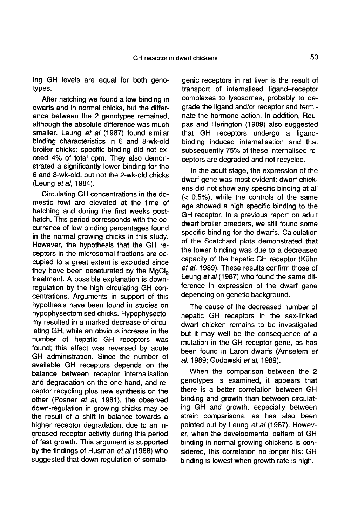ing GH levels are equal for both genotypes.

After hatching we found a low binding in dwarfs and in normal chicks, but the difference between the 2 genotypes remained, although the absolute difference was much smaller. Leung et al (1987) found similar binding characteristics in 6 and 8-wk-old broiler chicks: specific binding did not exceed 4% of total cpm. They also demonstrated a significantly lower binding for the 6 and 8-wk-old, but not the 2-wk-old chicks (Leung et al, 1984).

Circulating GH concentrations in the domestic fowl are elevated at the time of hatching and during the first weeks posthatch. This period corresponds with the occurrence of low binding percentages found in the normal growing chicks in this study. However, the hypothesis that the GH receptors in the microsomal fractions are occupied to a great extent is excluded since they have been desaturated by the MgCl<sub>2</sub> treatment. A possible explanation is downregulation by the high circulating GH concentrations. Arguments in support of this hypothesis have been found in studies.on hypophysectomised chicks. Hypophysectomy resulted in a marked decrease of circulating GH, while an obvious increase in the number of hepatic GH receptors was found; this effect was reversed by acute GH administration. Since the number of available GH receptors depends on the balance between receptor internalisation and degradation on the one hand, and receptor recycling plus new synthesis on the other (Posner et al, 1981), the observed down-regulation in growing chicks may be the result of a shift in balance towards a higher receptor degradation, due to an increased receptor activity during this period of fast growth. This argument is supported by the findings of Husman et al (1988) who suggested that down-regulation of somato-

genic receptors in rat liver is the result of transport of internalised ligand-receptor complexes to lysosomes, probably to degrade the ligand and/or receptor and terminate the hormone action. In addition, Roupas and Herington (1989) also suggested that GH receptors undergo a ligandbinding induced iniernalisation and that subsequently 75% of these internalised receptors are degraded and not recycled.

In the adult stage, the expression of the dwarf gene was most evident: dwarf chickens did not show any specific binding at all (< 0.5%), while the controls of the same age showed a high specific binding to the GH receptor. In a previous report on adult dwarf broiler breeders, we still found some specific binding for the dwarfs. Calculation of the Scatchard plots demonstrated that the lower binding was due to a decreased capacity of the hepatic GH receptor (Kuhn et al. 1989). These results confirm those of Leung et al (1987) who found the same difference in expression of the dwarf gene depending on genetic background.

The cause of the decreased number of hepatic GH receptors in the sex-linked dwarf chicken remains to be investigated but it may well be the consequence of a mutation in the GH receptor gene, as has been found in Laron dwarfs (Amselem et al, 1989; Godowski et al, 1989).

When the comparison between the 2 genotypes is examined, it appears that there is a better correlation between GH binding and growth than between circulating GH and growth, especially between strain comparisons, as has also been pointed out by Leung et al (1987). However, when the developmental pattern of GH binding in normal growing chickens is considered, this correlation no longer fits: GH binding is lowest when growth rate is high.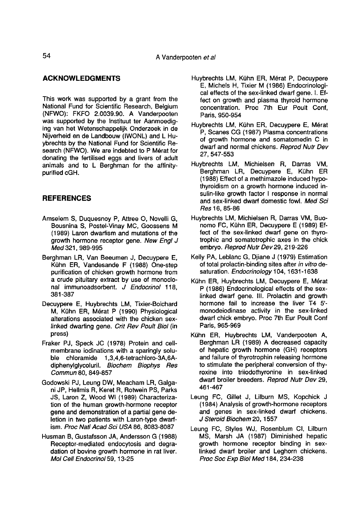## ACKNOWLEDGMENTS

This work was supported by a grant from the National Fund for Scientific Research, Belgium<br>(NFWO): FKFO 2.0039.90. A Vanderpooten was supported by the Instituut ter Aanmoediging van het Wetenschappelijk Onderzoek in de Nijverheid en de Landbouw (IWONL) and L Huybrechts by the National Fund for Scientific Research (NFWO). We are indebted to P Mérat for donating the fertilised eggs and livers of adult animals and to L Berghman for the affinitypurified cGH.

## **REFERENCES**

- Amselem S, Duquesnoy P, Attree 0, Novelli G, Bousnina S, Postel-Vinay MC, Goossens M (1989) Laron dwarfism and mutations of the growth hormone receptor gene. New Engl J Med 321, 989-995
- Berghman LR, Van Beeumen J, Decuypere E, Kiihn ER, Vandesande F (1988) One-step purification of chicken growth hormone from a crude pituitary extract by use of monoclonal immunoadsorbent. J Endocrinol 118, 381-387
- Decuypere E, Huybrechts LM, Tixier-Boichard M, Kuhn ER, M6rat P (1990) Physiological alterations associated with the chicken sexlinked dwarfing gene. Crit Rev Poult Biol (in press)
- Fraker PJ, Speck JC (1978) Protein and cellmembrane iodinations with a sparingly soluble chloramide 1,3,4,6-tetrachloro-3A,6Adiphenylglycoluril. Biochem Biophys Res Commun 80, 849-857
- Godowski PJ, Leung DW, Meacham LR, Galgani JP, Hellmis R, Keret R, Rotwein PS, Parks JS, Laron Z, Wood Wi (1989) Characterization of the human growth-hormone receptor gene and demonstration of a partial gene deletion in two patients with Laron-type dwarfism. Proc Natl Acad Sci USA 86, 8083-8087
- Husman B, Gustafsson JA, Andersson G (1988) Receptor-mediated endocytosis and degradation of bovine growth hormone in rat liver. Mol Cell Endocrinol 59, 13-25
- Huybrechts LM, Kühn ER, Mérat P, Decuypere E, Michels H, Tixier M (1986) Endocrinological effects of the sex-linked dwarf gene. I. Effect on growth and plasma thyroid hormone concentration. Proc 7th Eur Poult Conf, Paris, 950-954
- Huybrechts LM, Kuhn ER, Decuypere E, M6rat P, Scanes CG (1987) Plasma concentrations of growth hormone and somatomedin C in dwarf and normal chickens. Reprod Nutr Dev 27, 547-553
- Huybrechts LM, Michielsen R, Darras VM, Berghman LR, Decuypere E, Kuhn ER (1988) Effect of a methimazole induced hypothyroidism on a growth hormone induced insulin-like growth factor I response in normal and sex-linked dwarf domestic fowl. Med Sci Res 16, 85-86
- Huybrechts LM, Michielsen R, Darras VM, Buonomo FC, Kuhn ER, Decuypere E (1989) Effect of the sex-linked dwarf gene on thyrotrophic and somatotrophic axes in the chick embryo. Reprod Nutr Dev 29, 219-226
- Kelly PA, Leblanc G, Djiane J (1979) Estimation of total prolactin-binding sites after in vitro desaturation. Endocrinology 104, 1631-1638
- Kühn ER, Huybrechts LM, Decuypere E, Mérat P (1986) Endocrinological effects of the sexlinked dwarf gene. III. Prolactin and growth hormone fail to increase the liver T4 5' monodeiodinase activity in the sex-linked dwarf chick embryo. Proc 7th Eur Poult Conf Paris, 965-969
- Kuhn ER, Huybrechts LM, Vanderpooten A, Berghman LR (1989) A decreased capacity of hepatic growth hormone (GH) receptors and failure of thyrotrophin releasing hormone to stimulate the peripheral conversion of thyroxine into triiodothyronine in sex-linked dwarf broiler breeders. Reprod Nutr Dev 29, 461-467
- Leung FC, Gillet J, Lilburn MS, Kopchick J (1984) Analysis of growth-hormone receptors and genes in sex-linked dwarf chickens. J Steroid Biochem 20, 1557
- Leung FC, Styles WJ, Rosenblum Cl, Lilburn MS, Marsh JA (1987) Diminished hepatic growth hormone receptor binding in sexlinked dwarf broiler and Leghorn chickens. Proc Soc Exp Biol Med 184, 234-238